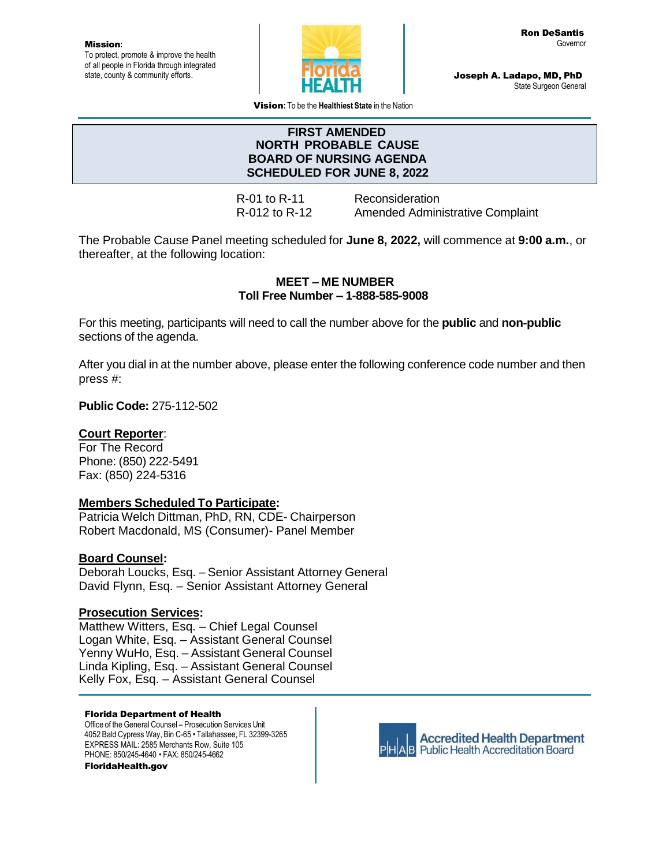Mission**:** To protect, promote & improve the health of all people in Florida through integrated state, county & community efforts.



Joseph A. Ladapo, MD, PhD State Surgeon General

Vision**:** To be the **Healthiest State** in the Nation

### **FIRST AMENDED NORTH PROBABLE CAUSE BOARD OF NURSING AGENDA SCHEDULED FOR JUNE 8, 2022**

R-01 to R-11 Reconsideration R-012 to R-12 Amended Administrative Complaint

The Probable Cause Panel meeting scheduled for **June 8, 2022,** will commence at **9:00 a.m.**, or thereafter, at the following location:

## **MEET – ME NUMBER Toll Free Number – 1-888-585-9008**

For this meeting, participants will need to call the number above for the **public** and **non-public** sections of the agenda.

After you dial in at the number above, please enter the following conference code number and then press #:

**Public Code:** 275-112-502

## **Court Reporter**:

For The Record Phone: (850) 222-5491 Fax: (850) 224-5316

#### **Members Scheduled To Participate:**

Patricia Welch Dittman, PhD, RN, CDE- Chairperson Robert Macdonald, MS (Consumer)- Panel Member

## **Board Counsel:**

Deborah Loucks, Esq. – Senior Assistant Attorney General David Flynn, Esq. – Senior Assistant Attorney General

## **Prosecution Services:**

Matthew Witters, Esq. – Chief Legal Counsel Logan White, Esq. – Assistant General Counsel Yenny WuHo, Esq. – Assistant General Counsel Linda Kipling, Esq. – Assistant General Counsel Kelly Fox, Esq. – Assistant General Counsel

#### Florida Department of Health

Office of the General Counsel – Prosecution Services Unit 4052 Bald Cypress Way, Bin C-65 • Tallahassee, FL 32399-3265 EXPRESS MAIL: 2585 Merchants Row, Suite 105 PHONE: 850/245-4640 • FAX: 850/245-4662 FloridaHealth.gov



**Accredited Health Department AB** Public Health Accreditation Board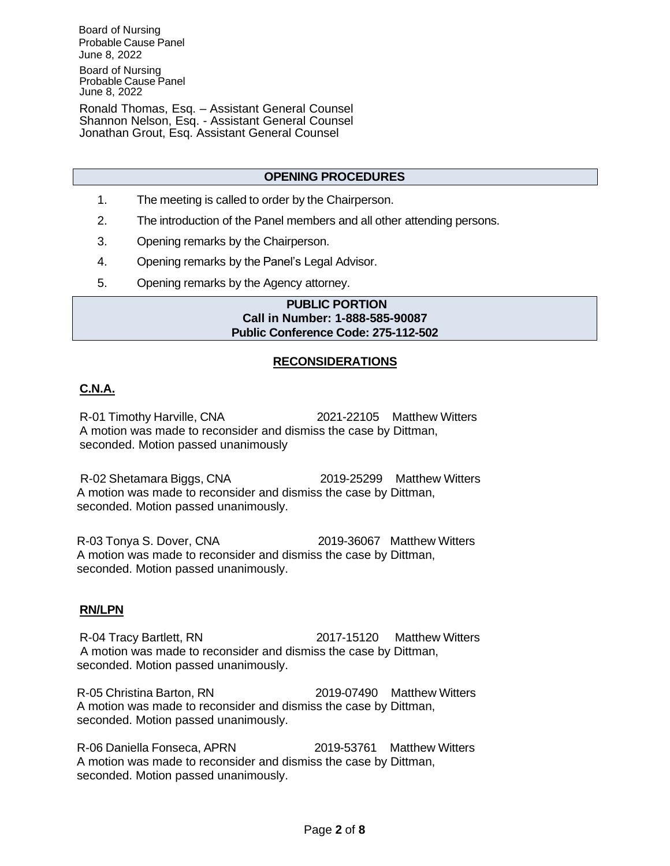Board of Nursing Probable Cause Panel June 8, 2022 Board of Nursing Probable Cause Panel June 8, 2022

Ronald Thomas, Esq. – Assistant General Counsel Shannon Nelson, Esq. - Assistant General Counsel Jonathan Grout, Esq. Assistant General Counsel

#### **OPENING PROCEDURES**

- 1. The meeting is called to order by the Chairperson.
- 2. The introduction of the Panel members and all other attending persons.
- 3. Opening remarks by the Chairperson.
- 4. Opening remarks by the Panel's Legal Advisor.
- 5. Opening remarks by the Agency attorney.

### **PUBLIC PORTION Call in Number: 1-888-585-90087 Public Conference Code: 275-112-502**

#### **RECONSIDERATIONS**

## **C.N.A.**

R-01 Timothy Harville, CNA 2021-22105 Matthew Witters A motion was made to reconsider and dismiss the case by Dittman, seconded. Motion passed unanimously

R-02 Shetamara Biggs, CNA 2019-25299 Matthew Witters A motion was made to reconsider and dismiss the case by Dittman, seconded. Motion passed unanimously.

R-03 Tonya S. Dover, CNA 2019-36067 Matthew Witters A motion was made to reconsider and dismiss the case by Dittman, seconded. Motion passed unanimously.

#### **RN/LPN**

R-04 Tracy Bartlett, RN 2017-15120 Matthew Witters A motion was made to reconsider and dismiss the case by Dittman, seconded. Motion passed unanimously.

R-05 Christina Barton, RN 2019-07490 Matthew Witters A motion was made to reconsider and dismiss the case by Dittman, seconded. Motion passed unanimously.

R-06 Daniella Fonseca, APRN 2019-53761 Matthew Witters A motion was made to reconsider and dismiss the case by Dittman, seconded. Motion passed unanimously.